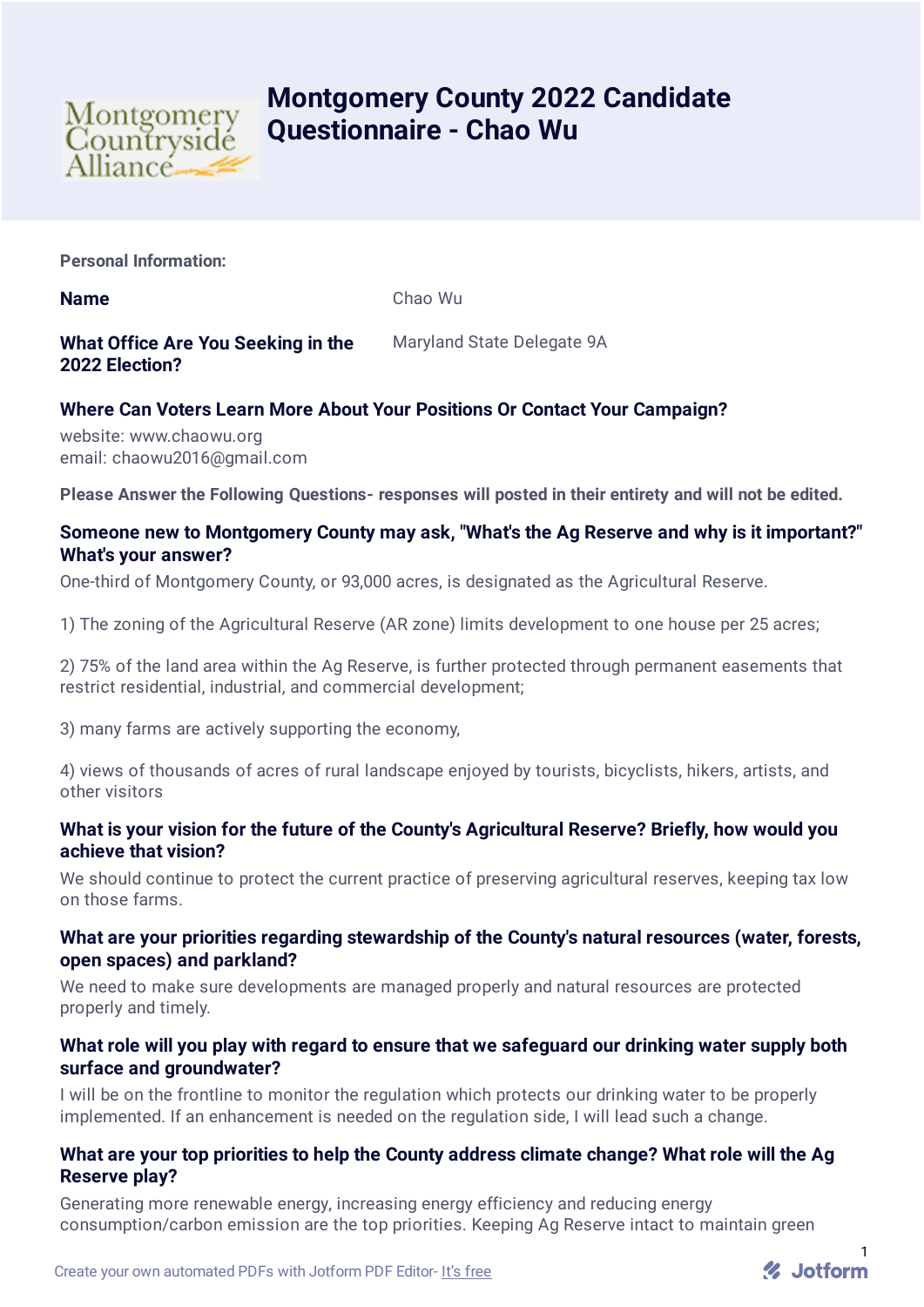

# **Montgomery County 2022 Candidate Questionnaire - Chao Wu**

**Personal Information:**

**Name** Chao Wu

# **What Office Are You Seeking in the 2022 Election?**

Maryland State Delegate 9A

# **Where Can Voters Learn More About Your Positions Or Contact Your Campaign?**

website: www.chaowu.org email: chaowu2016@gmail.com

**Please Answer the Following Questions- responses will posted in their entirety and will not be edited.**

# **Someone new to Montgomery County may ask, "What's the Ag Reserve and why is it important?" What's your answer?**

One-third of Montgomery County, or 93,000 acres, is designated as the Agricultural Reserve.

1) The zoning of the Agricultural Reserve (AR zone) limits development to one house per 25 acres;

2) 75% of the land area within the Ag Reserve, is further protected through permanent easements that restrict residential, industrial, and commercial development;

3) many farms are actively supporting the economy,

4) views of thousands of acres of rural landscape enjoyed by tourists, bicyclists, hikers, artists, and other visitors

## **What is your vision for the future of the County's Agricultural Reserve? Briefly, how would you achieve that vision?**

We should continue to protect the current practice of preserving agricultural reserves, keeping tax low on those farms.

#### **What are your priorities regarding stewardship of the County's natural resources (water, forests, open spaces) and parkland?**

We need to make sure developments are managed properly and natural resources are protected properly and timely.

## **What role will you play with regard to ensure that we safeguard our drinking water supply both surface and groundwater?**

I will be on the frontline to monitor the regulation which protects our drinking water to be properly implemented. If an enhancement is needed on the regulation side, I will lead such a change.

## **What are your top priorities to help the County address climate change? What role will the Ag Reserve play?**

Generating more renewable energy, increasing energy efficiency and reducing energy consumption/carbon emission are the top priorities. Keeping Ag Reserve intact to maintain green